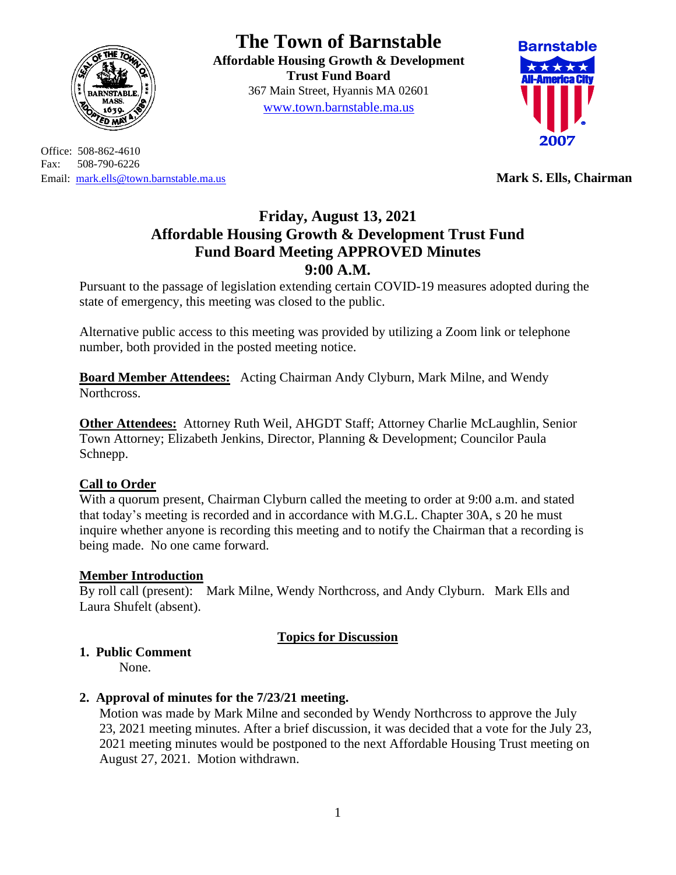

Office: 508-862-4610 Fax: 508-790-6226 Email: [mark.ells@town.barnstable.ma.us](mailto:mark.ells@town.barnstable.ma.us) **Mark S. Ells, Chairman**

# **The Town of Barnstable**

**Affordable Housing Growth & Development Trust Fund Board**  367 Main Street, Hyannis MA 02601 [www.town.barnstable.ma.us](http://www.town.barnstable.ma.us/)



# **Friday, August 13, 2021 Affordable Housing Growth & Development Trust Fund Fund Board Meeting APPROVED Minutes 9:00 A.M.**

Pursuant to the passage of legislation extending certain COVID-19 measures adopted during the state of emergency, this meeting was closed to the public.

Alternative public access to this meeting was provided by utilizing a Zoom link or telephone number, both provided in the posted meeting notice.

**Board Member Attendees:** Acting Chairman Andy Clyburn, Mark Milne, and Wendy Northcross.

**Other Attendees:** Attorney Ruth Weil, AHGDT Staff; Attorney Charlie McLaughlin, Senior Town Attorney; Elizabeth Jenkins, Director, Planning & Development; Councilor Paula Schnepp.

#### **Call to Order**

With a quorum present, Chairman Clyburn called the meeting to order at 9:00 a.m. and stated that today's meeting is recorded and in accordance with M.G.L. Chapter 30A, s 20 he must inquire whether anyone is recording this meeting and to notify the Chairman that a recording is being made. No one came forward.

#### **Member Introduction**

By roll call (present): Mark Milne, Wendy Northcross, and Andy Clyburn. Mark Ells and Laura Shufelt (absent).

## **Topics for Discussion**

## **1. Public Comment**

None.

#### **2. Approval of minutes for the 7/23/21 meeting.**

Motion was made by Mark Milne and seconded by Wendy Northcross to approve the July 23, 2021 meeting minutes. After a brief discussion, it was decided that a vote for the July 23, 2021 meeting minutes would be postponed to the next Affordable Housing Trust meeting on August 27, 2021. Motion withdrawn.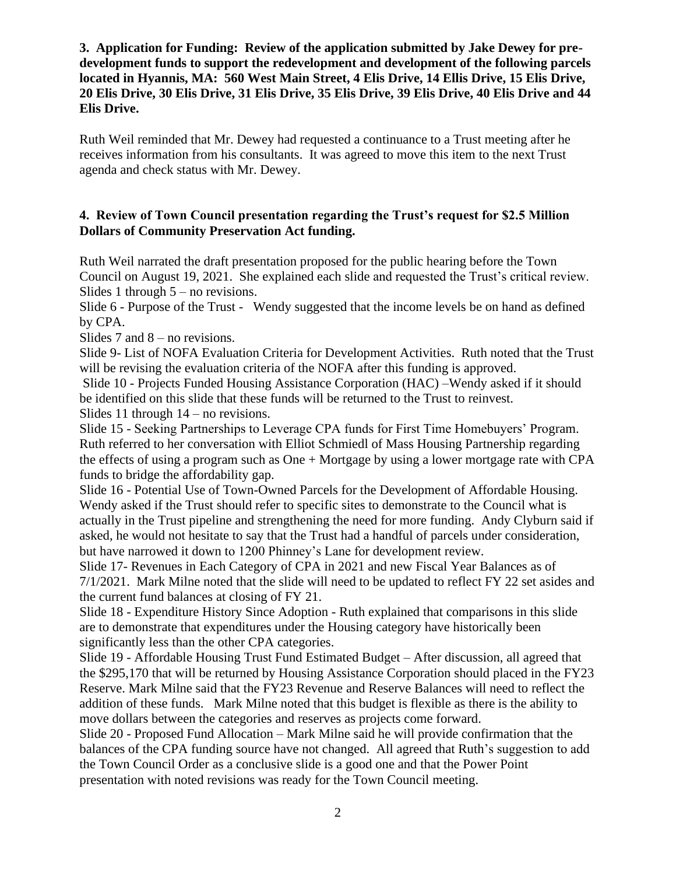#### **3. Application for Funding: Review of the application submitted by Jake Dewey for predevelopment funds to support the redevelopment and development of the following parcels located in Hyannis, MA: 560 West Main Street, 4 Elis Drive, 14 Ellis Drive, 15 Elis Drive, 20 Elis Drive, 30 Elis Drive, 31 Elis Drive, 35 Elis Drive, 39 Elis Drive, 40 Elis Drive and 44 Elis Drive.**

Ruth Weil reminded that Mr. Dewey had requested a continuance to a Trust meeting after he receives information from his consultants. It was agreed to move this item to the next Trust agenda and check status with Mr. Dewey.

#### **4. Review of Town Council presentation regarding the Trust's request for \$2.5 Million Dollars of Community Preservation Act funding.**

Ruth Weil narrated the draft presentation proposed for the public hearing before the Town Council on August 19, 2021. She explained each slide and requested the Trust's critical review. Slides 1 through  $5 -$  no revisions.

Slide 6 - Purpose of the Trust - Wendy suggested that the income levels be on hand as defined by CPA.

Slides 7 and 8 – no revisions.

Slide 9- List of NOFA Evaluation Criteria for Development Activities. Ruth noted that the Trust will be revising the evaluation criteria of the NOFA after this funding is approved.

Slide 10 - Projects Funded Housing Assistance Corporation (HAC) –Wendy asked if it should be identified on this slide that these funds will be returned to the Trust to reinvest. Slides 11 through 14 – no revisions.

Slide 15 - Seeking Partnerships to Leverage CPA funds for First Time Homebuyers' Program. Ruth referred to her conversation with Elliot Schmiedl of Mass Housing Partnership regarding the effects of using a program such as One + Mortgage by using a lower mortgage rate with CPA funds to bridge the affordability gap.

Slide 16 - Potential Use of Town-Owned Parcels for the Development of Affordable Housing. Wendy asked if the Trust should refer to specific sites to demonstrate to the Council what is actually in the Trust pipeline and strengthening the need for more funding. Andy Clyburn said if asked, he would not hesitate to say that the Trust had a handful of parcels under consideration, but have narrowed it down to 1200 Phinney's Lane for development review.

Slide 17- Revenues in Each Category of CPA in 2021 and new Fiscal Year Balances as of 7/1/2021. Mark Milne noted that the slide will need to be updated to reflect FY 22 set asides and the current fund balances at closing of FY 21.

Slide 18 - Expenditure History Since Adoption - Ruth explained that comparisons in this slide are to demonstrate that expenditures under the Housing category have historically been significantly less than the other CPA categories.

Slide 19 - Affordable Housing Trust Fund Estimated Budget – After discussion, all agreed that the \$295,170 that will be returned by Housing Assistance Corporation should placed in the FY23 Reserve. Mark Milne said that the FY23 Revenue and Reserve Balances will need to reflect the addition of these funds. Mark Milne noted that this budget is flexible as there is the ability to move dollars between the categories and reserves as projects come forward.

Slide 20 - Proposed Fund Allocation – Mark Milne said he will provide confirmation that the balances of the CPA funding source have not changed. All agreed that Ruth's suggestion to add the Town Council Order as a conclusive slide is a good one and that the Power Point presentation with noted revisions was ready for the Town Council meeting.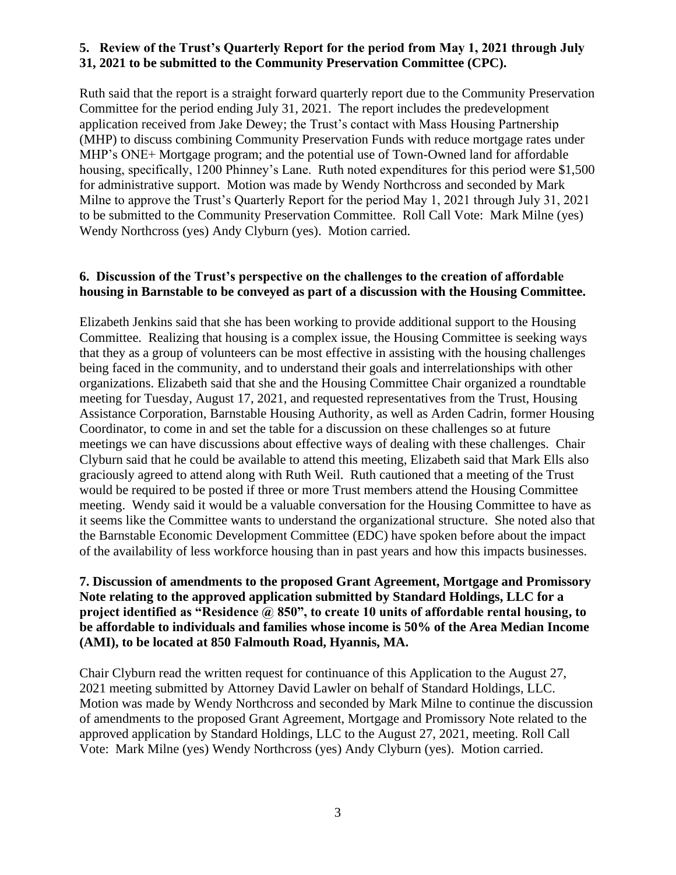#### **5. Review of the Trust's Quarterly Report for the period from May 1, 2021 through July 31, 2021 to be submitted to the Community Preservation Committee (CPC).**

Ruth said that the report is a straight forward quarterly report due to the Community Preservation Committee for the period ending July 31, 2021. The report includes the predevelopment application received from Jake Dewey; the Trust's contact with Mass Housing Partnership (MHP) to discuss combining Community Preservation Funds with reduce mortgage rates under MHP's ONE+ Mortgage program; and the potential use of Town-Owned land for affordable housing, specifically, 1200 Phinney's Lane. Ruth noted expenditures for this period were \$1,500 for administrative support. Motion was made by Wendy Northcross and seconded by Mark Milne to approve the Trust's Quarterly Report for the period May 1, 2021 through July 31, 2021 to be submitted to the Community Preservation Committee. Roll Call Vote: Mark Milne (yes) Wendy Northcross (yes) Andy Clyburn (yes). Motion carried.

#### **6. Discussion of the Trust's perspective on the challenges to the creation of affordable housing in Barnstable to be conveyed as part of a discussion with the Housing Committee.**

Elizabeth Jenkins said that she has been working to provide additional support to the Housing Committee. Realizing that housing is a complex issue, the Housing Committee is seeking ways that they as a group of volunteers can be most effective in assisting with the housing challenges being faced in the community, and to understand their goals and interrelationships with other organizations. Elizabeth said that she and the Housing Committee Chair organized a roundtable meeting for Tuesday, August 17, 2021, and requested representatives from the Trust, Housing Assistance Corporation, Barnstable Housing Authority, as well as Arden Cadrin, former Housing Coordinator, to come in and set the table for a discussion on these challenges so at future meetings we can have discussions about effective ways of dealing with these challenges. Chair Clyburn said that he could be available to attend this meeting, Elizabeth said that Mark Ells also graciously agreed to attend along with Ruth Weil. Ruth cautioned that a meeting of the Trust would be required to be posted if three or more Trust members attend the Housing Committee meeting. Wendy said it would be a valuable conversation for the Housing Committee to have as it seems like the Committee wants to understand the organizational structure. She noted also that the Barnstable Economic Development Committee (EDC) have spoken before about the impact of the availability of less workforce housing than in past years and how this impacts businesses.

#### **7. Discussion of amendments to the proposed Grant Agreement, Mortgage and Promissory Note relating to the approved application submitted by Standard Holdings, LLC for a project identified as "Residence @ 850", to create 10 units of affordable rental housing, to be affordable to individuals and families whose income is 50% of the Area Median Income (AMI), to be located at 850 Falmouth Road, Hyannis, MA.**

Chair Clyburn read the written request for continuance of this Application to the August 27, 2021 meeting submitted by Attorney David Lawler on behalf of Standard Holdings, LLC. Motion was made by Wendy Northcross and seconded by Mark Milne to continue the discussion of amendments to the proposed Grant Agreement, Mortgage and Promissory Note related to the approved application by Standard Holdings, LLC to the August 27, 2021, meeting. Roll Call Vote: Mark Milne (yes) Wendy Northcross (yes) Andy Clyburn (yes). Motion carried.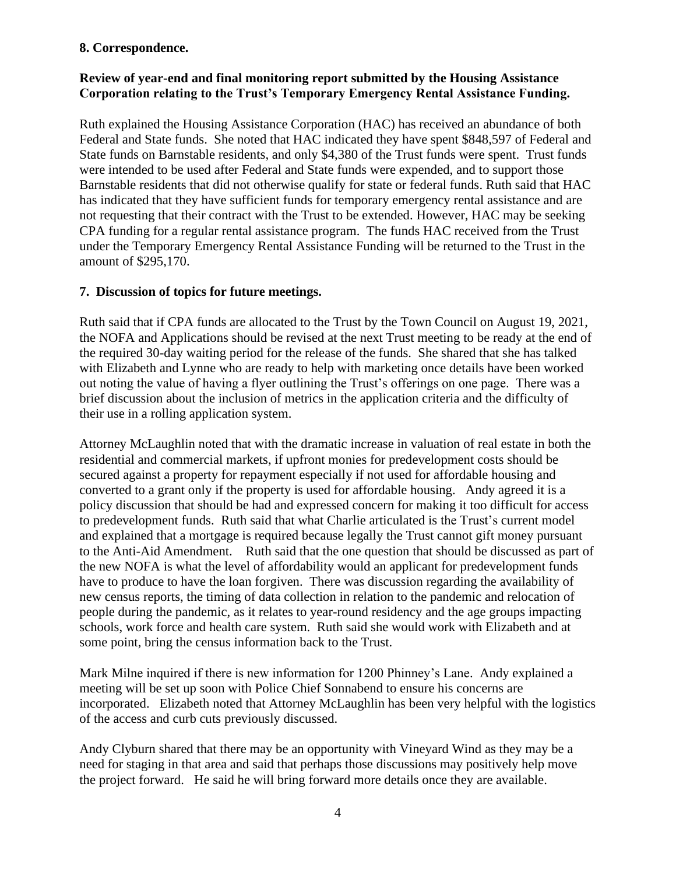#### **8. Correspondence.**

#### **Review of year-end and final monitoring report submitted by the Housing Assistance Corporation relating to the Trust's Temporary Emergency Rental Assistance Funding.**

Ruth explained the Housing Assistance Corporation (HAC) has received an abundance of both Federal and State funds. She noted that HAC indicated they have spent \$848,597 of Federal and State funds on Barnstable residents, and only \$4,380 of the Trust funds were spent. Trust funds were intended to be used after Federal and State funds were expended, and to support those Barnstable residents that did not otherwise qualify for state or federal funds. Ruth said that HAC has indicated that they have sufficient funds for temporary emergency rental assistance and are not requesting that their contract with the Trust to be extended. However, HAC may be seeking CPA funding for a regular rental assistance program. The funds HAC received from the Trust under the Temporary Emergency Rental Assistance Funding will be returned to the Trust in the amount of \$295,170.

#### **7. Discussion of topics for future meetings.**

Ruth said that if CPA funds are allocated to the Trust by the Town Council on August 19, 2021, the NOFA and Applications should be revised at the next Trust meeting to be ready at the end of the required 30-day waiting period for the release of the funds. She shared that she has talked with Elizabeth and Lynne who are ready to help with marketing once details have been worked out noting the value of having a flyer outlining the Trust's offerings on one page. There was a brief discussion about the inclusion of metrics in the application criteria and the difficulty of their use in a rolling application system.

Attorney McLaughlin noted that with the dramatic increase in valuation of real estate in both the residential and commercial markets, if upfront monies for predevelopment costs should be secured against a property for repayment especially if not used for affordable housing and converted to a grant only if the property is used for affordable housing. Andy agreed it is a policy discussion that should be had and expressed concern for making it too difficult for access to predevelopment funds. Ruth said that what Charlie articulated is the Trust's current model and explained that a mortgage is required because legally the Trust cannot gift money pursuant to the Anti-Aid Amendment. Ruth said that the one question that should be discussed as part of the new NOFA is what the level of affordability would an applicant for predevelopment funds have to produce to have the loan forgiven. There was discussion regarding the availability of new census reports, the timing of data collection in relation to the pandemic and relocation of people during the pandemic, as it relates to year-round residency and the age groups impacting schools, work force and health care system. Ruth said she would work with Elizabeth and at some point, bring the census information back to the Trust.

Mark Milne inquired if there is new information for 1200 Phinney's Lane. Andy explained a meeting will be set up soon with Police Chief Sonnabend to ensure his concerns are incorporated. Elizabeth noted that Attorney McLaughlin has been very helpful with the logistics of the access and curb cuts previously discussed.

Andy Clyburn shared that there may be an opportunity with Vineyard Wind as they may be a need for staging in that area and said that perhaps those discussions may positively help move the project forward. He said he will bring forward more details once they are available.